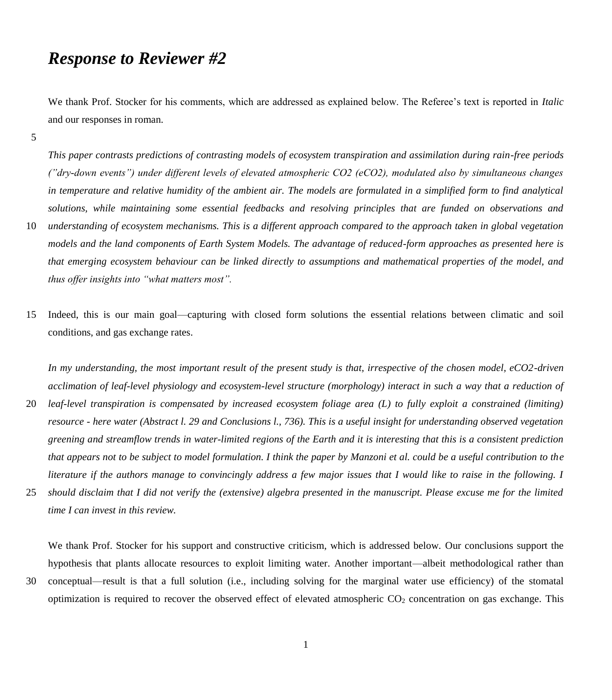# *Response to Reviewer #2*

We thank Prof. Stocker for his comments, which are addressed as explained below. The Referee's text is reported in *Italic* and our responses in roman.

5

*This paper contrasts predictions of contrasting models of ecosystem transpiration and assimilation during rain-free periods ("dry-down events") under different levels of elevated atmospheric CO2 (eCO2), modulated also by simultaneous changes in temperature and relative humidity of the ambient air. The models are formulated in a simplified form to find analytical solutions, while maintaining some essential feedbacks and resolving principles that are funded on observations and* 

- 10 *understanding of ecosystem mechanisms. This is a different approach compared to the approach taken in global vegetation models and the land components of Earth System Models. The advantage of reduced-form approaches as presented here is that emerging ecosystem behaviour can be linked directly to assumptions and mathematical properties of the model, and thus offer insights into "what matters most".*
- 15 Indeed, this is our main goal—capturing with closed form solutions the essential relations between climatic and soil conditions, and gas exchange rates.

*In my understanding, the most important result of the present study is that, irrespective of the chosen model, eCO2-driven acclimation of leaf-level physiology and ecosystem-level structure (morphology) interact in such a way that a reduction of* 

- 20 *leaf-level transpiration is compensated by increased ecosystem foliage area (L) to fully exploit a constrained (limiting) resource - here water (Abstract l. 29 and Conclusions l., 736). This is a useful insight for understanding observed vegetation greening and streamflow trends in water-limited regions of the Earth and it is interesting that this is a consistent prediction that appears not to be subject to model formulation. I think the paper by Manzoni et al. could be a useful contribution to the literature if the authors manage to convincingly address a few major issues that I would like to raise in the following. I*
- 25 *should disclaim that I did not verify the (extensive) algebra presented in the manuscript. Please excuse me for the limited time I can invest in this review.*

We thank Prof. Stocker for his support and constructive criticism, which is addressed below. Our conclusions support the hypothesis that plants allocate resources to exploit limiting water. Another important—albeit methodological rather than

30 conceptual—result is that a full solution (i.e., including solving for the marginal water use efficiency) of the stomatal optimization is required to recover the observed effect of elevated atmospheric  $CO<sub>2</sub>$  concentration on gas exchange. This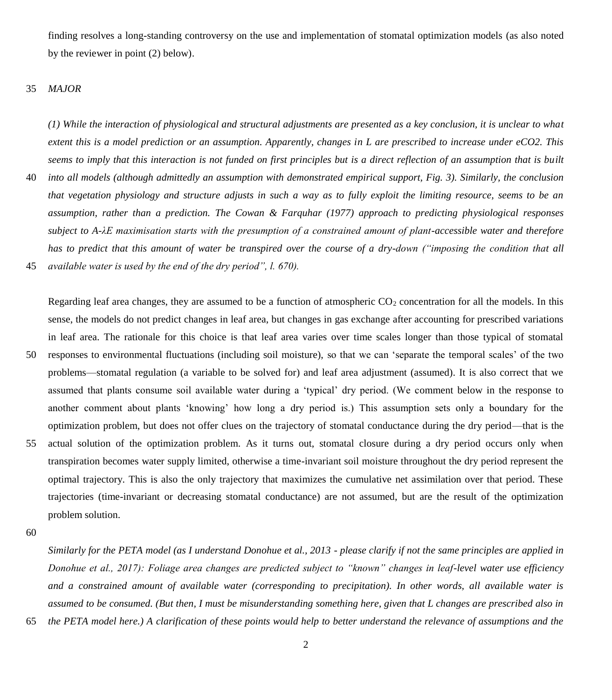finding resolves a long-standing controversy on the use and implementation of stomatal optimization models (as also noted by the reviewer in point (2) below).

#### 35 *MAJOR*

*(1) While the interaction of physiological and structural adjustments are presented as a key conclusion, it is unclear to what extent this is a model prediction or an assumption. Apparently, changes in L are prescribed to increase under eCO2. This seems to imply that this interaction is not funded on first principles but is a direct reflection of an assumption that is built*  40 *into all models (although admittedly an assumption with demonstrated empirical support, Fig. 3). Similarly, the conclusion that vegetation physiology and structure adjusts in such a way as to fully exploit the limiting resource, seems to be an assumption, rather than a prediction. The Cowan & Farquhar (1977) approach to predicting physiological responses* 

*subject to A-λE maximisation starts with the presumption of a constrained amount of plant-accessible water and therefore has to predict that this amount of water be transpired over the course of a dry-down ("imposing the condition that all*  45 *available water is used by the end of the dry period", l. 670).* 

Regarding leaf area changes, they are assumed to be a function of atmospheric  $CO<sub>2</sub>$  concentration for all the models. In this sense, the models do not predict changes in leaf area, but changes in gas exchange after accounting for prescribed variations in leaf area. The rationale for this choice is that leaf area varies over time scales longer than those typical of stomatal 50 responses to environmental fluctuations (including soil moisture), so that we can 'separate the temporal scales' of the two problems—stomatal regulation (a variable to be solved for) and leaf area adjustment (assumed). It is also correct that we assumed that plants consume soil available water during a 'typical' dry period. (We comment below in the response to another comment about plants 'knowing' how long a dry period is.) This assumption sets only a boundary for the optimization problem, but does not offer clues on the trajectory of stomatal conductance during the dry period—that is the 55 actual solution of the optimization problem. As it turns out, stomatal closure during a dry period occurs only when transpiration becomes water supply limited, otherwise a time-invariant soil moisture throughout the dry period represent the optimal trajectory. This is also the only trajectory that maximizes the cumulative net assimilation over that period. These trajectories (time-invariant or decreasing stomatal conductance) are not assumed, but are the result of the optimization

60

problem solution.

*Similarly for the PETA model (as I understand Donohue et al., 2013 - please clarify if not the same principles are applied in Donohue et al., 2017): Foliage area changes are predicted subject to "known" changes in leaf-level water use efficiency and a constrained amount of available water (corresponding to precipitation). In other words, all available water is assumed to be consumed. (But then, I must be misunderstanding something here, given that L changes are prescribed also in*  65 *the PETA model here.) A clarification of these points would help to better understand the relevance of assumptions and the*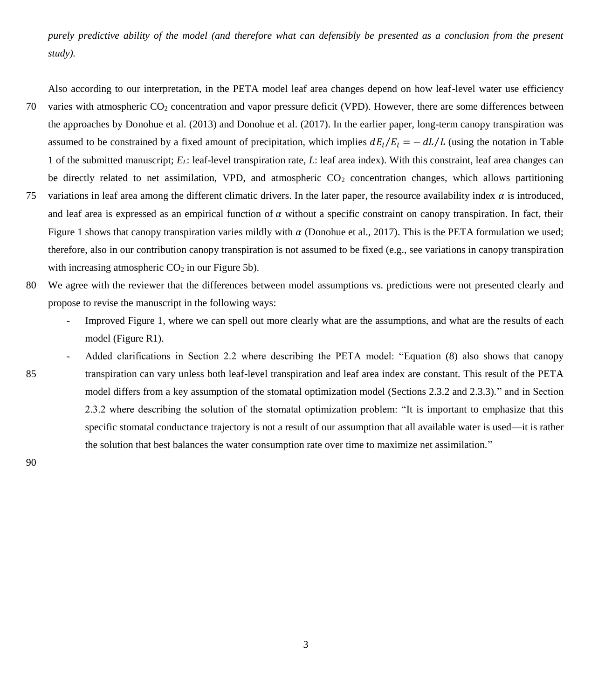*purely predictive ability of the model (and therefore what can defensibly be presented as a conclusion from the present study).*

Also according to our interpretation, in the PETA model leaf area changes depend on how leaf-level water use efficiency

- 70 varies with atmospheric CO<sup>2</sup> concentration and vapor pressure deficit (VPD). However, there are some differences between the approaches by Donohue et al. (2013) and Donohue et al. (2017). In the earlier paper, long-term canopy transpiration was assumed to be constrained by a fixed amount of precipitation, which implies  $dE_l/E_l = -dL/L$  (using the notation in Table 1 of the submitted manuscript; *EL*: leaf-level transpiration rate, *L*: leaf area index). With this constraint, leaf area changes can be directly related to net assimilation, VPD, and atmospheric  $CO<sub>2</sub>$  concentration changes, which allows partitioning
- 75 variations in leaf area among the different climatic drivers. In the later paper, the resource availability index  $\alpha$  is introduced, and leaf area is expressed as an empirical function of  $\alpha$  without a specific constraint on canopy transpiration. In fact, their Figure 1 shows that canopy transpiration varies mildly with  $\alpha$  (Donohue et al., 2017). This is the PETA formulation we used; therefore, also in our contribution canopy transpiration is not assumed to be fixed (e.g., see variations in canopy transpiration with increasing atmospheric  $CO<sub>2</sub>$  in our Figure 5b).
- 80 We agree with the reviewer that the differences between model assumptions vs. predictions were not presented clearly and propose to revise the manuscript in the following ways:
	- Improved Figure 1, where we can spell out more clearly what are the assumptions, and what are the results of each model (Figure R1).
- Added clarifications in Section 2.2 where describing the PETA model: "Equation (8) also shows that canopy 85 transpiration can vary unless both leaf-level transpiration and leaf area index are constant. This result of the PETA model differs from a key assumption of the stomatal optimization model (Sections 2.3.2 and 2.3.3)." and in Section 2.3.2 where describing the solution of the stomatal optimization problem: "It is important to emphasize that this specific stomatal conductance trajectory is not a result of our assumption that all available water is used—it is rather the solution that best balances the water consumption rate over time to maximize net assimilation."

90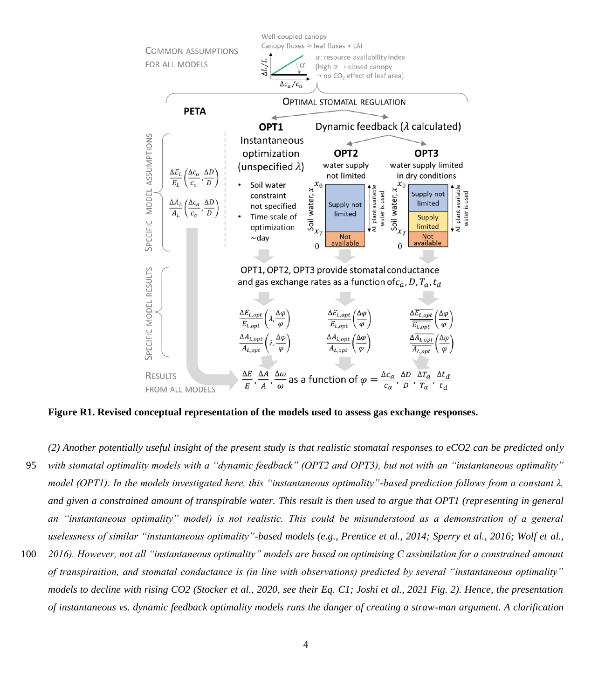

**Figure R1. Revised conceptual representation of the models used to assess gas exchange responses.**

- *(2) Another potentially useful insight of the present study is that realistic stomatal responses to eCO2 can be predicted only*  95 *with stomatal optimality models with a "dynamic feedback" (OPT2 and OPT3), but not with an "instantaneous optimality" model (OPT1). In the models investigated here, this "instantaneous optimality"-based prediction follows from a constant λ, and given a constrained amount of transpirable water. This result is then used to argue that OPT1 (representing in general an "instantaneous optimality" model) is not realistic. This could be misunderstood as a demonstration of a general*  uselessness of similar "instantaneous optimality"-based models (e.g., Prentice et al., 2014; Sperry et al., 2016; Wolf et al.,
- 100 *2016). However, not all "instantaneous optimality" models are based on optimising C assimilation for a constrained amount of transpiraition, and stomatal conductance is (in line with observations) predicted by several "instantaneous optimality" models to decline with rising CO2 (Stocker et al., 2020, see their Eq. C1; Joshi et al., 2021 Fig. 2). Hence, the presentation of instantaneous vs. dynamic feedback optimality models runs the danger of creating a straw-man argument. A clarification*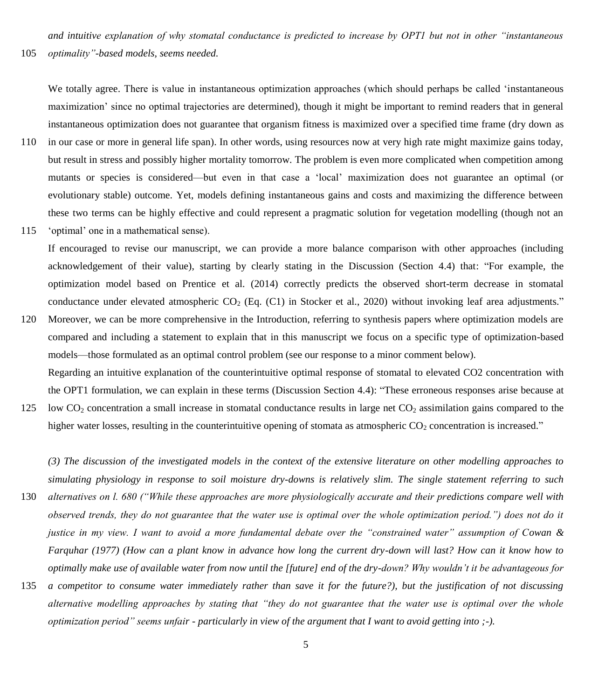*and intuitive explanation of why stomatal conductance is predicted to increase by OPT1 but not in other "instantaneous*  105 *optimality"-based models, seems needed.*

We totally agree. There is value in instantaneous optimization approaches (which should perhaps be called 'instantaneous maximization' since no optimal trajectories are determined), though it might be important to remind readers that in general instantaneous optimization does not guarantee that organism fitness is maximized over a specified time frame (dry down as

- 110 in our case or more in general life span). In other words, using resources now at very high rate might maximize gains today, but result in stress and possibly higher mortality tomorrow. The problem is even more complicated when competition among mutants or species is considered—but even in that case a 'local' maximization does not guarantee an optimal (or evolutionary stable) outcome. Yet, models defining instantaneous gains and costs and maximizing the difference between these two terms can be highly effective and could represent a pragmatic solution for vegetation modelling (though not an
- 115 'optimal' one in a mathematical sense).

If encouraged to revise our manuscript, we can provide a more balance comparison with other approaches (including acknowledgement of their value), starting by clearly stating in the Discussion (Section 4.4) that: "For example, the optimization model based on Prentice et al. (2014) correctly predicts the observed short-term decrease in stomatal conductance under elevated atmospheric CO<sub>2</sub> (Eq. (C1) in Stocker et al., 2020) without invoking leaf area adjustments."

120 Moreover, we can be more comprehensive in the Introduction, referring to synthesis papers where optimization models are compared and including a statement to explain that in this manuscript we focus on a specific type of optimization-based models—those formulated as an optimal control problem (see our response to a minor comment below). Regarding an intuitive explanation of the counterintuitive optimal response of stomatal to elevated CO2 concentration with

the OPT1 formulation, we can explain in these terms (Discussion Section 4.4): "These erroneous responses arise because at 125 low  $CO<sub>2</sub>$  concentration a small increase in stomatal conductance results in large net  $CO<sub>2</sub>$  assimilation gains compared to the

higher water losses, resulting in the counterintuitive opening of stomata as atmospheric  $CO<sub>2</sub>$  concentration is increased."

*(3) The discussion of the investigated models in the context of the extensive literature on other modelling approaches to simulating physiology in response to soil moisture dry-downs is relatively slim. The single statement referring to such*  130 *alternatives on l. 680 ("While these approaches are more physiologically accurate and their predictions compare well with observed trends, they do not guarantee that the water use is optimal over the whole optimization period.") does not do it justice in my view. I want to avoid a more fundamental debate over the "constrained water" assumption of Cowan & Farquhar (1977) (How can a plant know in advance how long the current dry-down will last? How can it know how to optimally make use of available water from now until the [future] end of the dry-down? Why wouldn't it be advantageous for* 

135 *a competitor to consume water immediately rather than save it for the future?), but the justification of not discussing alternative modelling approaches by stating that "they do not guarantee that the water use is optimal over the whole optimization period" seems unfair - particularly in view of the argument that I want to avoid getting into ;-).*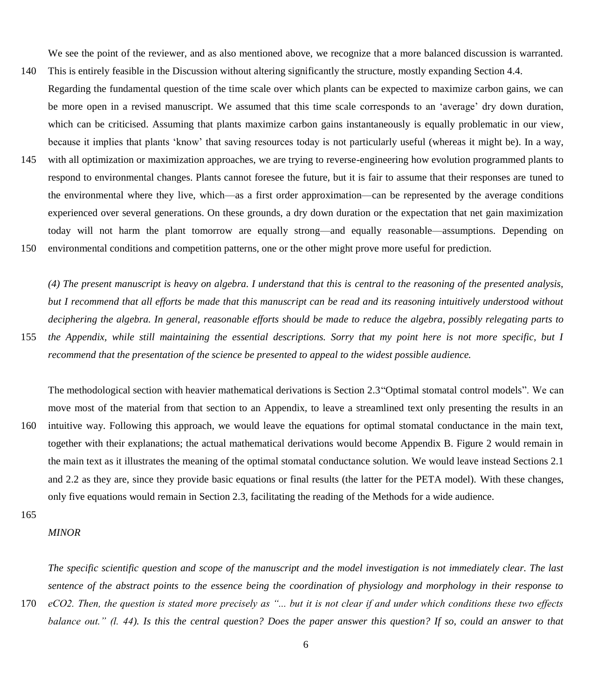We see the point of the reviewer, and as also mentioned above, we recognize that a more balanced discussion is warranted.

- 140 This is entirely feasible in the Discussion without altering significantly the structure, mostly expanding Section 4.4. Regarding the fundamental question of the time scale over which plants can be expected to maximize carbon gains, we can be more open in a revised manuscript. We assumed that this time scale corresponds to an 'average' dry down duration, which can be criticised. Assuming that plants maximize carbon gains instantaneously is equally problematic in our view, because it implies that plants 'know' that saving resources today is not particularly useful (whereas it might be). In a way,
- 145 with all optimization or maximization approaches, we are trying to reverse-engineering how evolution programmed plants to respond to environmental changes. Plants cannot foresee the future, but it is fair to assume that their responses are tuned to the environmental where they live, which—as a first order approximation—can be represented by the average conditions experienced over several generations. On these grounds, a dry down duration or the expectation that net gain maximization today will not harm the plant tomorrow are equally strong—and equally reasonable—assumptions. Depending on 150 environmental conditions and competition patterns, one or the other might prove more useful for prediction.

*(4) The present manuscript is heavy on algebra. I understand that this is central to the reasoning of the presented analysis, but I recommend that all efforts be made that this manuscript can be read and its reasoning intuitively understood without deciphering the algebra. In general, reasonable efforts should be made to reduce the algebra, possibly relegating parts to* 

155 *the Appendix, while still maintaining the essential descriptions. Sorry that my point here is not more specific, but I recommend that the presentation of the science be presented to appeal to the widest possible audience.*

The methodological section with heavier mathematical derivations is Section 2.3"Optimal stomatal control models". We can move most of the material from that section to an Appendix, to leave a streamlined text only presenting the results in an 160 intuitive way. Following this approach, we would leave the equations for optimal stomatal conductance in the main text, together with their explanations; the actual mathematical derivations would become Appendix B. Figure 2 would remain in the main text as it illustrates the meaning of the optimal stomatal conductance solution. We would leave instead Sections 2.1 and 2.2 as they are, since they provide basic equations or final results (the latter for the PETA model). With these changes, only five equations would remain in Section 2.3, facilitating the reading of the Methods for a wide audience.

165

### *MINOR*

*The specific scientific question and scope of the manuscript and the model investigation is not immediately clear. The last sentence of the abstract points to the essence being the coordination of physiology and morphology in their response to*  170 *eCO2. Then, the question is stated more precisely as "... but it is not clear if and under which conditions these two effects balance out." (l. 44). Is this the central question? Does the paper answer this question? If so, could an answer to that*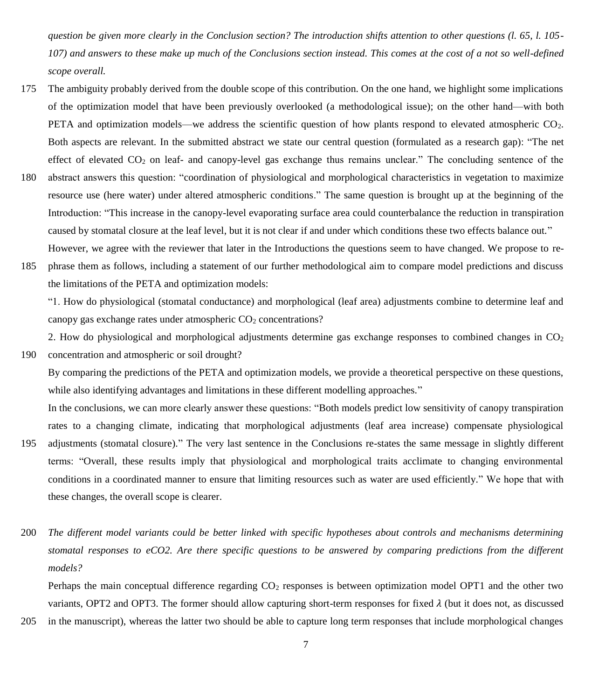*question be given more clearly in the Conclusion section? The introduction shifts attention to other questions (l. 65, l. 105- 107) and answers to these make up much of the Conclusions section instead. This comes at the cost of a not so well-defined scope overall.*

- 175 The ambiguity probably derived from the double scope of this contribution. On the one hand, we highlight some implications of the optimization model that have been previously overlooked (a methodological issue); on the other hand—with both PETA and optimization models—we address the scientific question of how plants respond to elevated atmospheric CO<sub>2</sub>. Both aspects are relevant. In the submitted abstract we state our central question (formulated as a research gap): "The net effect of elevated  $CO<sub>2</sub>$  on leaf- and canopy-level gas exchange thus remains unclear." The concluding sentence of the
- 180 abstract answers this question: "coordination of physiological and morphological characteristics in vegetation to maximize resource use (here water) under altered atmospheric conditions." The same question is brought up at the beginning of the Introduction: "This increase in the canopy-level evaporating surface area could counterbalance the reduction in transpiration caused by stomatal closure at the leaf level, but it is not clear if and under which conditions these two effects balance out." However, we agree with the reviewer that later in the Introductions the questions seem to have changed. We propose to re-
- 185 phrase them as follows, including a statement of our further methodological aim to compare model predictions and discuss the limitations of the PETA and optimization models:

"1. How do physiological (stomatal conductance) and morphological (leaf area) adjustments combine to determine leaf and canopy gas exchange rates under atmospheric  $CO<sub>2</sub>$  concentrations?

2. How do physiological and morphological adjustments determine gas exchange responses to combined changes in  $CO<sub>2</sub>$ 190 concentration and atmospheric or soil drought?

By comparing the predictions of the PETA and optimization models, we provide a theoretical perspective on these questions, while also identifying advantages and limitations in these different modelling approaches."

In the conclusions, we can more clearly answer these questions: "Both models predict low sensitivity of canopy transpiration rates to a changing climate, indicating that morphological adjustments (leaf area increase) compensate physiological

- 195 adjustments (stomatal closure)." The very last sentence in the Conclusions re-states the same message in slightly different terms: "Overall, these results imply that physiological and morphological traits acclimate to changing environmental conditions in a coordinated manner to ensure that limiting resources such as water are used efficiently." We hope that with these changes, the overall scope is clearer.
- 200 *The different model variants could be better linked with specific hypotheses about controls and mechanisms determining stomatal responses to eCO2. Are there specific questions to be answered by comparing predictions from the different models?*

Perhaps the main conceptual difference regarding  $CO<sub>2</sub>$  responses is between optimization model OPT1 and the other two variants, OPT2 and OPT3. The former should allow capturing short-term responses for fixed  $\lambda$  (but it does not, as discussed

205 in the manuscript), whereas the latter two should be able to capture long term responses that include morphological changes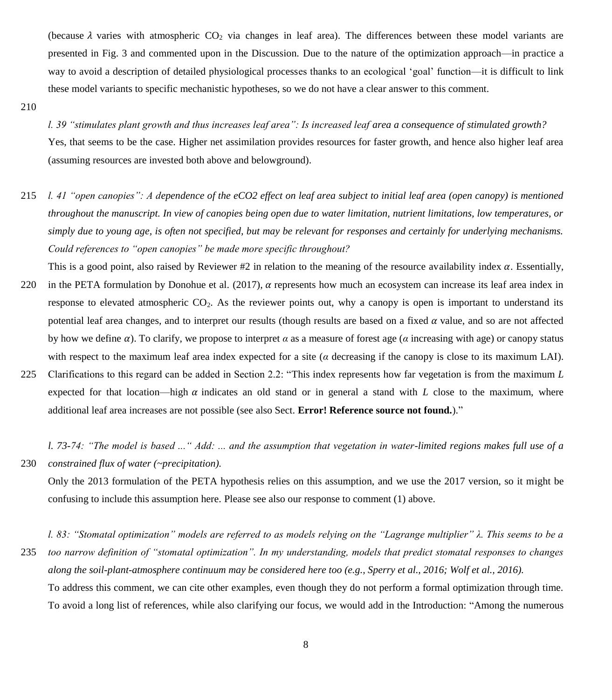(because  $\lambda$  varies with atmospheric CO<sub>2</sub> via changes in leaf area). The differences between these model variants are presented in Fig. 3 and commented upon in the Discussion. Due to the nature of the optimization approach—in practice a way to avoid a description of detailed physiological processes thanks to an ecological 'goal' function—it is difficult to link these model variants to specific mechanistic hypotheses, so we do not have a clear answer to this comment.

210

*l. 39 "stimulates plant growth and thus increases leaf area": Is increased leaf area a consequence of stimulated growth?* Yes, that seems to be the case. Higher net assimilation provides resources for faster growth, and hence also higher leaf area (assuming resources are invested both above and belowground).

- 215 *l. 41 "open canopies": A dependence of the eCO2 effect on leaf area subject to initial leaf area (open canopy) is mentioned throughout the manuscript. In view of canopies being open due to water limitation, nutrient limitations, low temperatures, or simply due to young age, is often not specified, but may be relevant for responses and certainly for underlying mechanisms. Could references to "open canopies" be made more specific throughout?*
- This is a good point, also raised by Reviewer #2 in relation to the meaning of the resource availability index  $\alpha$ . Essentially, 220 in the PETA formulation by Donohue et al. (2017),  $\alpha$  represents how much an ecosystem can increase its leaf area index in response to elevated atmospheric  $CO<sub>2</sub>$ . As the reviewer points out, why a canopy is open is important to understand its potential leaf area changes, and to interpret our results (though results are based on a fixed  $\alpha$  value, and so are not affected by how we define  $\alpha$ ). To clarify, we propose to interpret  $\alpha$  as a measure of forest age ( $\alpha$  increasing with age) or canopy status with respect to the maximum leaf area index expected for a site ( $\alpha$  decreasing if the canopy is close to its maximum LAI).
- 225 Clarifications to this regard can be added in Section 2.2: "This index represents how far vegetation is from the maximum *L* expected for that location—high  $\alpha$  indicates an old stand or in general a stand with *L* close to the maximum, where additional leaf area increases are not possible (see also Sect. **Error! Reference source not found.**)."

*l. 73-74: "The model is based ..." Add: ... and the assumption that vegetation in water-limited regions makes full use of a*  230 *constrained flux of water (~precipitation).*

Only the 2013 formulation of the PETA hypothesis relies on this assumption, and we use the 2017 version, so it might be confusing to include this assumption here. Please see also our response to comment (1) above.

*l. 83: "Stomatal optimization" models are referred to as models relying on the "Lagrange multiplier" λ. This seems to be a*  235 *too narrow definition of "stomatal optimization". In my understanding, models that predict stomatal responses to changes along the soil-plant-atmosphere continuum may be considered here too (e.g., Sperry et al., 2016; Wolf et al., 2016).* To address this comment, we can cite other examples, even though they do not perform a formal optimization through time. To avoid a long list of references, while also clarifying our focus, we would add in the Introduction: "Among the numerous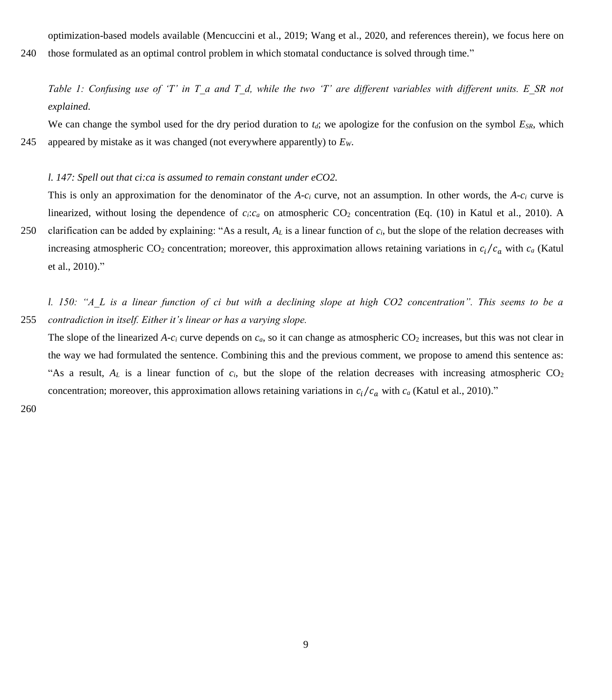optimization-based models available (Mencuccini et al., 2019; Wang et al., 2020, and references therein), we focus here on

240 those formulated as an optimal control problem in which stomatal conductance is solved through time."

*Table 1: Confusing use of 'T' in T\_a and T\_d, while the two 'T' are different variables with different units. E\_SR not explained.*

We can change the symbol used for the dry period duration to  $t_d$ ; we apologize for the confusion on the symbol  $E_{SR}$ , which 245 appeared by mistake as it was changed (not everywhere apparently) to *EW*.

#### *l. 147: Spell out that ci:ca is assumed to remain constant under eCO2.*

This is only an approximation for the denominator of the *A*-*c<sup>i</sup>* curve, not an assumption. In other words, the *A*-*c<sup>i</sup>* curve is linearized, without losing the dependence of  $c_i$ : $c_a$  on atmospheric CO<sub>2</sub> concentration (Eq. (10) in Katul et al., 2010). A

250 clarification can be added by explaining: "As a result, *A<sup>L</sup>* is a linear function of *ci*, but the slope of the relation decreases with increasing atmospheric CO<sub>2</sub> concentration; moreover, this approximation allows retaining variations in  $c_i/c_a$  with  $c_a$  (Katul et al., 2010)."

*l. 150: "A\_L is a linear function of ci but with a declining slope at high CO2 concentration". This seems to be a*  255 *contradiction in itself. Either it's linear or has a varying slope.*

The slope of the linearized A- $c_i$  curve depends on  $c_a$ , so it can change as atmospheric  $CO_2$  increases, but this was not clear in the way we had formulated the sentence. Combining this and the previous comment, we propose to amend this sentence as: "As a result,  $A_L$  is a linear function of  $c_i$ , but the slope of the relation decreases with increasing atmospheric CO<sub>2</sub> concentration; moreover, this approximation allows retaining variations in  $c_i/c_a$  with  $c_a$  (Katul et al., 2010)."

260